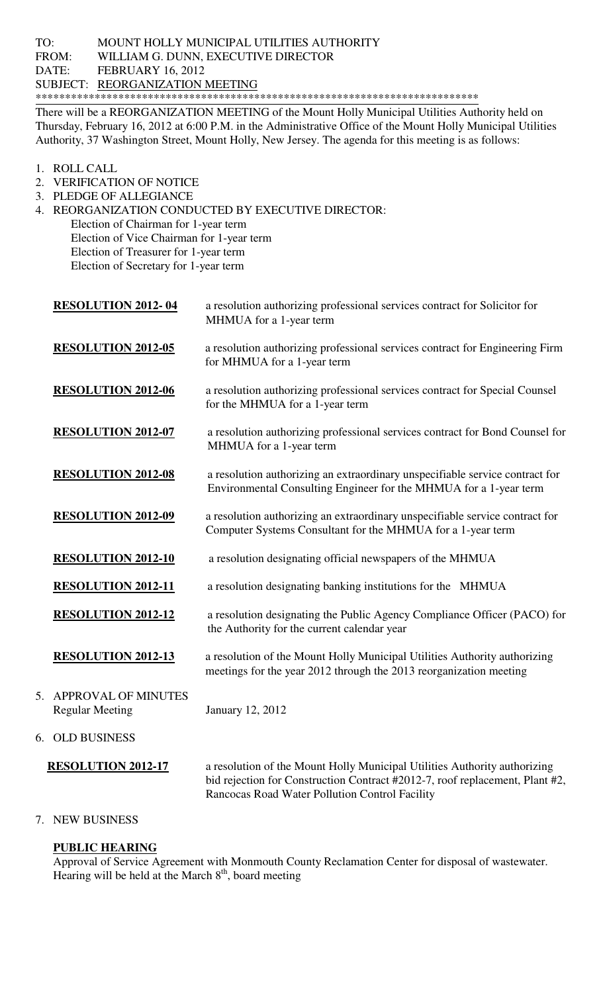There will be a REORGANIZATION MEETING of the Mount Holly Municipal Utilities Authority held on Thursday, February 16, 2012 at 6:00 P.M. in the Administrative Office of the Mount Holly Municipal Utilities Authority, 37 Washington Street, Mount Holly, New Jersey. The agenda for this meeting is as follows:

- 1. ROLL CALL
- 2. VERIFICATION OF NOTICE
- 3. PLEDGE OF ALLEGIANCE
- 4. REORGANIZATION CONDUCTED BY EXECUTIVE DIRECTOR:
	- Election of Chairman for 1-year term Election of Vice Chairman for 1-year term Election of Treasurer for 1-year term
	- Election of Secretary for 1-year term

|    | <b>RESOLUTION 2012-04</b>                            | a resolution authorizing professional services contract for Solicitor for<br>MHMUA for a 1-year term                                                                                                        |
|----|------------------------------------------------------|-------------------------------------------------------------------------------------------------------------------------------------------------------------------------------------------------------------|
|    | <b>RESOLUTION 2012-05</b>                            | a resolution authorizing professional services contract for Engineering Firm<br>for MHMUA for a 1-year term                                                                                                 |
|    | <b>RESOLUTION 2012-06</b>                            | a resolution authorizing professional services contract for Special Counsel<br>for the MHMUA for a 1-year term                                                                                              |
|    | <b>RESOLUTION 2012-07</b>                            | a resolution authorizing professional services contract for Bond Counsel for<br>MHMUA for a 1-year term                                                                                                     |
|    | <b>RESOLUTION 2012-08</b>                            | a resolution authorizing an extraordinary unspecifiable service contract for<br>Environmental Consulting Engineer for the MHMUA for a 1-year term                                                           |
|    | <b>RESOLUTION 2012-09</b>                            | a resolution authorizing an extraordinary unspecifiable service contract for<br>Computer Systems Consultant for the MHMUA for a 1-year term                                                                 |
|    | <b>RESOLUTION 2012-10</b>                            | a resolution designating official newspapers of the MHMUA                                                                                                                                                   |
|    | <b>RESOLUTION 2012-11</b>                            | a resolution designating banking institutions for the MHMUA                                                                                                                                                 |
|    | <b>RESOLUTION 2012-12</b>                            | a resolution designating the Public Agency Compliance Officer (PACO) for<br>the Authority for the current calendar year                                                                                     |
|    | <b>RESOLUTION 2012-13</b>                            | a resolution of the Mount Holly Municipal Utilities Authority authorizing<br>meetings for the year 2012 through the 2013 reorganization meeting                                                             |
| 5. | <b>APPROVAL OF MINUTES</b><br><b>Regular Meeting</b> | January 12, 2012                                                                                                                                                                                            |
|    | 6. OLD BUSINESS                                      |                                                                                                                                                                                                             |
|    | <b>RESOLUTION 2012-17</b>                            | a resolution of the Mount Holly Municipal Utilities Authority authorizing<br>bid rejection for Construction Contract #2012-7, roof replacement, Plant #2,<br>Rancocas Road Water Pollution Control Facility |

## 7. NEW BUSINESS

## **PUBLIC HEARING**

Approval of Service Agreement with Monmouth County Reclamation Center for disposal of wastewater. Hearing will be held at the March  $8<sup>th</sup>$ , board meeting